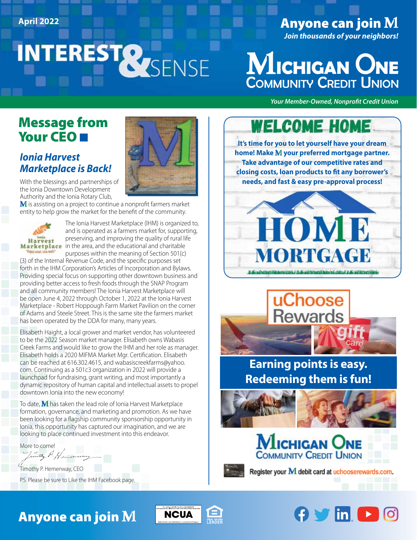# INTERESTRESSENSE

# April 2022 **Anyone can join M**

*Join thousands of your neighbors!*



*Your Member-Owned, Nonprofit Credit Union*

### Message from Your CEO

### *Ionia Harvest Marketplace is Back!*

With the blessings and partnerships of the Ionia Downtown Development Authority and the Ionia Rotary Club,

 $\bf{M}$  is assisting on a project to continue a nonprofit farmers market entity to help grow the market for the benefit of the community.



The Ionia Harvest Marketplace (IHM) is organized to, and is operated as a farmers market for, supporting, preserving, and improving the quality of rural life Marketplace in the area, and the educational and charitable purposes within the meaning of Section 501(c)

(3) of the Internal Revenue Code, and the specific purposes set forth in the IHM Corporation's Articles of Incorporation and Bylaws. Providing special focus on supporting other downtown business and providing better access to fresh foods through the SNAP Program and all community members! The Ionia Harvest Marketplace will be open June 4, 2022 through October 1, 2022 at the Ionia Harvest Marketplace - Robert Hoppough Farm Market Pavilion on the corner of Adams and Steele Street. This is the same site the farmers market has been operated by the DDA for many, many years.

Elisabeth Haight, a local grower and market vendor, has volunteered to be the 2022 Season market manager. Elisabeth owns Wabasis Creek Farms and would like to grow the IHM and her role as manager. Elisabeth holds a 2020 MIFMA Market Mgr. Certification. Elisabeth can be reached at 616.302.4615, and wabasiscreekfarms@yahoo. com. Continuing as a 501c3 organization in 2022 will provide a launchpad for fundraising, grant writing, and most importantly a dynamic repository of human capital and intellectual assets to propel downtown Ionia into the new economy!

To date,  $M$  has taken the lead role of Ionia Harvest Marketplace formation, governance, and marketing and promotion. As we have been looking for a flagship community sponsorship opportunity in Ionia, this opportunity has captured our imagination, and we are looking to place continued investment into this endeavor.

More to come!

with P. Henen

Timothy P. Hemenway, CEO

P.S. Please be sure to Like the IHM Facebook page.

# Anyone can join





home! Make M your preferred mortgage partner. **Take advantage of our competitive rates and closing costs, loan products to fit any borrower's needs, and fast & easy pre-approval process!** 





# **Earning points is easy. Redeeming them is fun!**







Register your M debit card at uchooserewards.com.